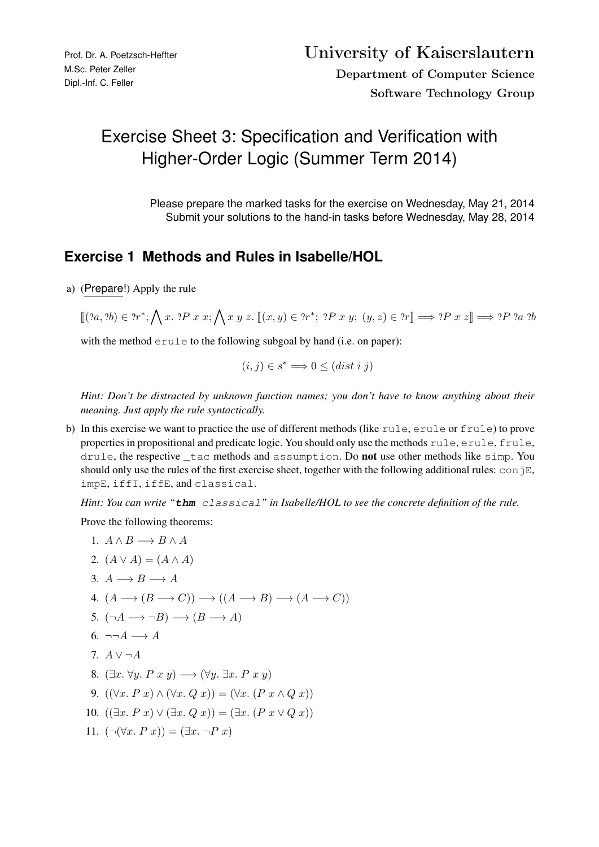# Exercise Sheet 3: Specification and Verification with Higher-Order Logic (Summer Term 2014)

Please prepare the marked tasks for the exercise on Wednesday, May 21, 2014 Submit your solutions to the hand-in tasks before Wednesday, May 28, 2014

#### **Exercise 1 Methods and Rules in Isabelle/HOL**

a) (Prepare!) Apply the rule

 $\llbracket (?a, ?b) \in ?r^*; \bigwedge x. ?P \ x \ x; \bigwedge x \ y \ z. \ \llbracket (x, y) \in ?r^*; ?P \ x \ y; \ (y, z) \in ?r \rrbracket \Longrightarrow ?P \ x \ z \rrbracket \Longrightarrow ?P \ ?a \ ?b$ 

with the method erule to the following subgoal by hand (i.e. on paper):

$$
(i,j) \in s^* \Longrightarrow 0 \leq (dist \; i \; j)
$$

*Hint: Don't be distracted by unknown function names; you don't have to know anything about their meaning. Just apply the rule syntactically.*

b) In this exercise we want to practice the use of different methods (like rule, erule or frule) to prove properties in propositional and predicate logic. You should only use the methods rule, erule, frule, drule, the respective \_tac methods and assumption. Do not use other methods like simp. You should only use the rules of the first exercise sheet, together with the following additional rules:  $\c{conjE}$ , impE, iffI, iffE, and classical.

*Hint: You can write "***thm** classical*" in Isabelle/HOL to see the concrete definition of the rule.*

Prove the following theorems:

1. 
$$
A \wedge B \longrightarrow B \wedge A
$$
  
\n2.  $(A \vee A) = (A \wedge A)$   
\n3.  $A \longrightarrow B \longrightarrow A$   
\n4.  $(A \longrightarrow (B \longrightarrow C)) \longrightarrow ((A \longrightarrow B) \longrightarrow (A \longrightarrow C))$   
\n5.  $(\neg A \longrightarrow \neg B) \longrightarrow (B \longrightarrow A)$   
\n6.  $\neg \neg A \longrightarrow A$   
\n7.  $A \vee \neg A$   
\n8.  $(\exists x. \forall y. P \ x \ y) \longrightarrow (\forall y. \exists x. P \ x \ y)$   
\n9.  $((\forall x. P \ x) \wedge (\forall x. Q \ x)) = (\forall x. (P \ x \wedge Q \ x))$   
\n10.  $((\exists x. P \ x) \vee (\exists x. Q \ x)) = (\exists x. (P \ x \vee Q \ x))$   
\n11.  $(\neg(\forall x. P \ x)) = (\exists x. \neg P \ x)$